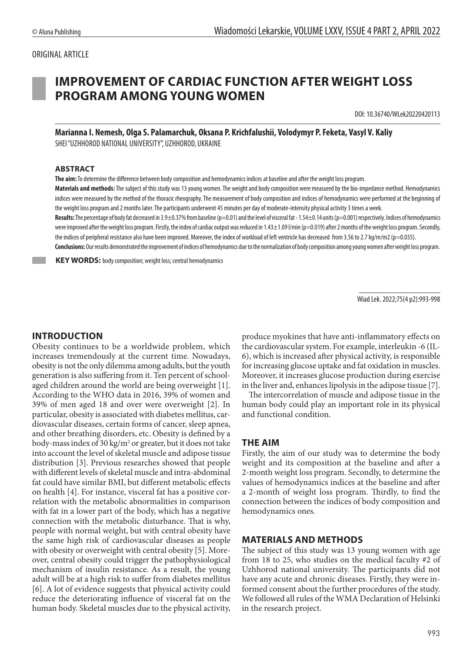#### ORIGINAL ARTICLE

# **IMPROVEMENT OF CARDIAC FUNCTION AFTER WEIGHT LOSS PROGRAM AMONG YOUNG WOMEN**

DOI: 10.36740/WLek20220420113

**Marianna I. Nemesh, Olga S. Palamarchuk, Oksana P. Krichfalushii, Volodymyr P. Feketa, Vasyl V. Kaliy**  SHEI "UZHHOROD NATIONAL UNIVERSITY", UZHHOROD, UKRAINE

#### **ABSTRACT**

**The aim:** To determine the difference between body composition and hemodynamics indices at baseline and after the weight loss program.

Materials and methods: The subject of this study was 13 young women. The weight and body composition were measured by the bio-impedance method. Hemodynamics indices were measured by the method of the thoracic rheography. The measurement of body composition and indices of hemodynamics were performed at the beginning of the weight loss program and 2 months later. The participants underwent 45 minutes per day of moderate-intensity physical activity 3 times a week.

**Results:** The percentage of body fat decreased in 3.9±0.37% from baseline (p=0.01) and the level of visceral fat - 1.54±0.14 units (p=0.001) respectively. Indices of hemodynamics were improved after the weight loss program. Firstly, the index of cardiac output was reduced in 1.43±1.09 l/min (p=0.019) after 2 months of the weight loss program. Secondly, the indices of peripheral resistance also have been improved. Moreover, the index of workload of left ventricle has decreased from 3.56 to 2.7 kg/m/m2 (p=0.035).

**Conclusions:** Our results demonstrated the improvement of indices of hemodynamics due to the normalization of body composition among young women after weight loss program.

 **KEY WORDS:** body composition; weight loss; central hemodynamics

Wiad Lek. 2022;75(4 p2):993-998

## **INTRODUCTION**

Obesity continues to be a worldwide problem, which increases tremendously at the current time. Nowadays, obesity is not the only dilemma among adults, but the youth generation is also suffering from it. Ten percent of schoolaged children around the world are being overweight [1]. According to the WHO data in 2016, 39% of women and 39% of men aged 18 and over were overweight [2]. In particular, obesity is associated with diabetes mellitus, cardiovascular diseases, certain forms of cancer, sleep apnea, and other breathing disorders, etc. Obesity is defined by a body-mass index of 30 kg/m<sup>2</sup> or greater, but it does not take into account the level of skeletal muscle and adipose tissue distribution [3]. Previous researches showed that people with different levels of skeletal muscle and intra-abdominal fat could have similar BMI, but different metabolic effects on health [4]. For instance, visceral fat has a positive correlation with the metabolic abnormalities in comparison with fat in a lower part of the body, which has a negative connection with the metabolic disturbance. That is why, people with normal weight, but with central obesity have the same high risk of cardiovascular diseases as people with obesity or overweight with central obesity [5]. Moreover, central obesity could trigger the pathophysiological mechanism of insulin resistance. As a result, the young adult will be at a high risk to suffer from diabetes mellitus [6]. A lot of evidence suggests that physical activity could reduce the deteriorating influence of visceral fat on the human body. Skeletal muscles due to the physical activity,

produce myokines that have anti-inflammatory effects on the cardiovascular system. For example, interleukin -6 (IL-6), which is increased after physical activity, is responsible for increasing glucose uptake and fat oxidation in muscles. Moreover, it increases glucose production during exercise in the liver and, enhances lipolysis in the adipose tissue [7].

The intercorrelation of muscle and adipose tissue in the human body could play an important role in its physical and functional condition.

#### **THE AIM**

Firstly, the aim of our study was to determine the body weight and its composition at the baseline and after a 2-month weight loss program. Secondly, to determine the values of hemodynamics indices at the baseline and after a 2-month of weight loss program. Thirdly, to find the connection between the indices of body composition and hemodynamics ones.

#### **MATERIALS AND METHODS**

The subject of this study was 13 young women with age from 18 to 25, who studies on the medical faculty #2 of Uzhhorod national university. The participants did not have any acute and chronic diseases. Firstly, they were informed consent about the further procedures of the study. We followed all rules of the WMA Declaration of Helsinki in the research project.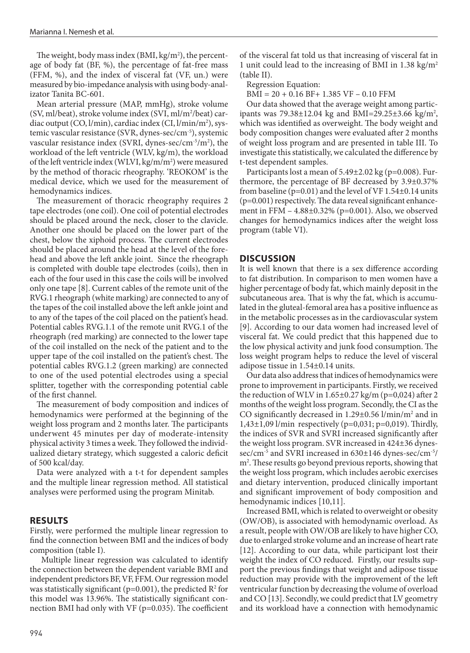The weight, body mass index (BMI, kg/m<sup>2</sup>), the percentage of body fat (BF, %), the percentage of fat-free mass (FFM, %), and the index of visceral fat (VF, un.) were measured by bio-impedance analysis with using body-analizator Tanita BC-601.

Mean arterial pressure (MAP, mmHg), stroke volume (SV, ml/beat), stroke volume index (SVI, ml/m2 /beat) cardiac output (CO, l/min), cardiac index (CI, l/min/m2 ), systemic vascular resistance (SVR, dynes-sec/cm-5), systemic vascular resistance index (SVRI, dynes-sec/cm-5/m2 ), the workload of the left ventricle (WLV, kg/m), the workload of the left ventricle index (WLVI, kg/m/m<sup>2</sup>) were measured by the method of thoracic rheography. 'REOKOM' is the medical device, which we used for the measurement of hemodynamics indices.

The measurement of thoracic rheography requires 2 tape electrodes (one coil). One coil of potential electrodes should be placed around the neck, closer to the clavicle. Another one should be placed on the lower part of the chest, below the xiphoid process. The current electrodes should be placed around the head at the level of the forehead and above the left ankle joint. Since the rheograph is completed with double tape electrodes (coils), then in each of the four used in this case the coils will be involved only one tape [8]. Current cables of the remote unit of the RVG.1 rheograph (white marking) are connected to any of the tapes of the coil installed above the left ankle joint and to any of the tapes of the coil placed on the patient's head. Potential cables RVG.1.1 of the remote unit RVG.1 of the rheograph (red marking) are connected to the lower tape of the coil installed on the neck of the patient and to the upper tape of the coil installed on the patient's chest. The potential cables RVG.1.2 (green marking) are connected to one of the used potential electrodes using a special splitter, together with the corresponding potential cable of the first channel.

The measurement of body composition and indices of hemodynamics were performed at the beginning of the weight loss program and 2 months later. The participants underwent 45 minutes per day of moderate-intensity physical activity 3 times a week. They followed the individualized dietary strategy, which suggested a caloric deficit of 500 kcal/day.

Data were analyzed with a t-t for dependent samples and the multiple linear regression method. All statistical analyses were performed using the program Minitab.

#### **RESULTS**

Firstly, were performed the multiple linear regression to find the connection between BMI and the indices of body composition (table I).

Multiple linear regression was calculated to identify the connection between the dependent variable BMI and independent predictors BF, VF, FFM. Our regression model was statistically significant ( $p=0.001$ ), the predicted  $R^2$  for this model was 13.96%. The statistically significant connection BMI had only with  $VF$  ( $p=0.035$ ). The coefficient

of the visceral fat told us that increasing of visceral fat in 1 unit could lead to the increasing of BMI in  $1.38 \text{ kg/m}^2$ (table II).

Regression Equation:

BMI = 20 + 0.16 BF+ 1.385 VF – 0.10 FFM

Our data showed that the average weight among participants was 79.38±12.04 kg and BMI=29.25±3.66 kg/m<sup>2</sup>, which was identified as overweight. The body weight and body composition changes were evaluated after 2 months of weight loss program and are presented in table III. To investigate this statistically, we calculated the difference by t-test dependent samples.

Participants lost a mean of 5.49±2.02 kg (p=0.008). Furthermore, the percentage of BF decreased by 3.9±0.37% from baseline ( $p=0.01$ ) and the level of VF 1.54 $\pm$ 0.14 units  $(p=0.001)$  respectively. The data reveal significant enhancement in FFM – 4.88±0.32% (p=0.001). Also, we observed changes for hemodynamics indices after the weight loss program (table VI).

#### **DISCUSSION**

It is well known that there is a sex difference according to fat distribution. In comparison to men women have a higher percentage of body fat, which mainly deposit in the subcutaneous area. That is why the fat, which is accumulated in the gluteal-femoral area has a positive influence as in the metabolic processes as in the cardiovascular system [9]. According to our data women had increased level of visceral fat. We could predict that this happened due to the low physical activity and junk food consumption. The loss weight program helps to reduce the level of visceral adipose tissue in 1.54±0.14 units.

Our data also address that indices of hemodynamics were prone to improvement in participants. Firstly, we received the reduction of WLV in  $1.65\pm0.27$  kg/m (p=0,024) after 2 months of the weight loss program. Secondly, the CI as the CO significantly decreased in 1.29±0.56 l/min/m2 and in 1,43±1,09 l/min respectively (p=0,031; p=0,019). Thirdly, the indices of SVR and SVRI increased significantly after the weight loss program. SVR increased in 424±36 dynessec/cm-5 and SVRI increased in 630±146 dynes-sec/cm-5/ m2 . These results go beyond previous reports, showing that the weight loss program, which includes aerobic exercises and dietary intervention, produced clinically important and significant improvement of body composition and hemodynamic indices [10,11].

Increased BMI, which is related to overweight or obesity (OW/OB), is associated with hemodynamic overload. As a result, people with OW/OB are likely to have higher CO, due to enlarged stroke volume and an increase of heart rate [12]. According to our data, while participant lost their weight the index of CO reduced. Firstly, our results support the previous findings that weight and adipose tissue reduction may provide with the improvement of the left ventricular function by decreasing the volume of overload and CO [13]. Secondly, we could predict that LV geometry and its workload have a connection with hemodynamic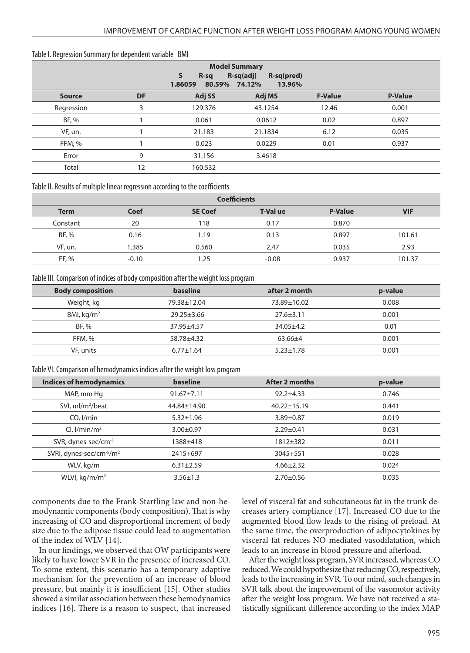#### Table I. Regression Summary for dependent variable BMI

| <b>Model Summary</b><br>$\mathsf{s}$<br>$R-sq(adj)$<br>R-sq(pred)<br>$R-sq$<br>80.59% 74.12%<br>1.86059<br>13.96% |           |         |         |                |                |
|-------------------------------------------------------------------------------------------------------------------|-----------|---------|---------|----------------|----------------|
| <b>Source</b>                                                                                                     | <b>DF</b> | Adj SS  | Adj MS  | <b>F-Value</b> | <b>P-Value</b> |
| Regression                                                                                                        | 3         | 129.376 | 43.1254 | 12.46          | 0.001          |
| BF, %                                                                                                             |           | 0.061   | 0.0612  | 0.02           | 0.897          |
| VF, un.                                                                                                           |           | 21.183  | 21.1834 | 6.12           | 0.035          |
| FFM, %                                                                                                            |           | 0.023   | 0.0229  | 0.01           | 0.937          |
| Error                                                                                                             | 9         | 31.156  | 3.4618  |                |                |
| Total                                                                                                             | 12        | 160.532 |         |                |                |

Table II. Results of multiple linear regression according to the coefficients

| <b>Coefficients</b> |         |                |                 |                |            |
|---------------------|---------|----------------|-----------------|----------------|------------|
| <b>Term</b>         | Coef    | <b>SE Coef</b> | <b>T-Val ue</b> | <b>P-Value</b> | <b>VIF</b> |
| Constant            | 20      | 118            | 0.17            | 0.870          |            |
| BF, %               | 0.16    | 1.19           | 0.13            | 0.897          | 101.61     |
| VF, un.             | 1.385   | 0.560          | 2,47            | 0.035          | 2.93       |
| FF, %               | $-0.10$ | .25            | $-0.08$         | 0.937          | 101.37     |

Table III. Comparison of indices of body composition after the weight loss program

| <b>Body composition</b> | baseline         | after 2 month   | p-value |
|-------------------------|------------------|-----------------|---------|
| Weight, kg              | 79.38±12.04      | 73.89±10.02     | 0.008   |
| BMI, $kg/m2$            | $29.25 \pm 3.66$ | $27.6 \pm 3.11$ | 0.001   |
| BF, %                   | 37.95±4.57       | $34.05 \pm 4.2$ | 0.01    |
| FFM, %                  | 58.78±4.32       | $63.66 \pm 4$   | 0.001   |
| VF, units               | $6.77 \pm 1.64$  | $5.23 \pm 1.78$ | 0.001   |

Table VI. Comparison of hemodynamics indices after the weight loss program

| Indices of hemodynamics                          | baseline         | After 2 months    | p-value |
|--------------------------------------------------|------------------|-------------------|---------|
| MAP, mm Hg                                       | $91.67 \pm 7.11$ | $92.2 + 4.33$     | 0.746   |
| SVI, ml/m <sup>2</sup> /beat                     | 44.84±14.90      | $40.22 \pm 15.19$ | 0.441   |
| $CO.$ $I/min$                                    | $5.32 \pm 1.96$  | $3.89 \pm 0.87$   | 0.019   |
| CI, $1/min/m2$                                   | $3.00 \pm 0.97$  | $2.29 \pm 0.41$   | 0.031   |
| SVR, dynes-sec/cm-5                              | 1388±418         | 1812±382          | 0.011   |
| SVRI, dynes-sec/cm <sup>-5</sup> /m <sup>2</sup> | 2415+697         | $3045 + 551$      | 0.028   |
| WLV, kg/m                                        | $6.31 \pm 2.59$  | $4.66 \pm 2.32$   | 0.024   |
| WLVI, $kg/m/m^2$                                 | $3.56 \pm 1.3$   | $2.70 \pm 0.56$   | 0.035   |

components due to the Frank-Startling law and non-hemodynamic components (body composition). That is why increasing of CO and disproportional increment of body size due to the adipose tissue could lead to augmentation of the index of WLV [14].

In our findings, we observed that OW participants were likely to have lower SVR in the presence of increased CO. To some extent, this scenario has a temporary adaptive mechanism for the prevention of an increase of blood pressure, but mainly it is insufficient [15]. Other studies showed a similar association between these hemodynamics indices [16]. There is a reason to suspect, that increased level of visceral fat and subcutaneous fat in the trunk decreases artery compliance [17]. Increased CO due to the augmented blood flow leads to the rising of preload. At the same time, the overproduction of adipocytokines by visceral fat reduces NO-mediated vasodilatation, which leads to an increase in blood pressure and afterload.

After the weight loss program, SVR increased, whereas CO reduced. We could hypothesize that reducing CO, respectively, leads to the increasing in SVR. To our mind, such changes in SVR talk about the improvement of the vasomotor activity after the weight loss program. We have not received a statistically significant difference according to the index MAP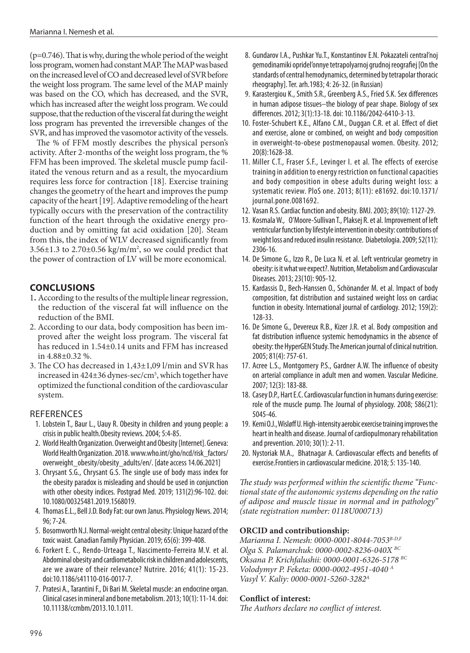(p=0.746). That is why, during the whole period of the weight loss program, women had constant MAP. The MAP was based on the increased level of CO and decreased level of SVR before the weight loss program. The same level of the MAP mainly was based on the CO, which has decreased, and the SVR, which has increased after the weight loss program. We could suppose, that the reduction of the visceral fat during the weight loss program has prevented the irreversible changes of the SVR, and has improved the vasomotor activity of the vessels.

The % of FFM mostly describes the physical person's activity. After 2-months of the weight loss program, the % FFM has been improved. The skeletal muscle pump facilitated the venous return and as a result, the myocardium requires less force for contraction [18]. Exercise training changes the geometry of the heart and improves the pump capacity of the heart [19]. Adaptive remodeling of the heart typically occurs with the preservation of the contractility function of the heart through the oxidative energy production and by omitting fat acid oxidation [20]. Steam from this, the index of WLV decreased significantly from  $3.56\pm1.3$  to  $2.70\pm0.56$  kg/m/m<sup>2</sup>, so we could predict that the power of contraction of LV will be more economical.

## **CONCLUSIONS**

- 1**.** According to the results of the multiple linear regression, the reduction of the visceral fat will influence on the reduction of the BMI.
- 2. According to our data, body composition has been improved after the weight loss program. The visceral fat has reduced in 1.54±0.14 units and FFM has increased in 4.88±0.32 %.
- 3. The CO has decreased in 1,43±1,09 l/min and SVR has increased in 424±36 dynes-sec/cm5 , which together have optimized the functional condition of the cardiovascular system.

## REFERENCES

- 1. Lobstein T., Baur L., Uauy R. Obesity in children and young people: a crisis in public health.Obesity reviews. 2004; 5:4-85.
- 2. World Health Organization. Overweight and Obesity [Internet]. Geneva: World Health Organization. 2018. www.who.int/gho/ncd/risk\_factors/ overweight\_obesity/obesity\_adults/en/. [date access 14.06.2021]
- 3. Chrysant S.G., Chrysant G.S. The single use of body mass index for the obesity paradox is misleading and should be used in conjunction with other obesity indices. Postgrad Med. 2019; 131(2):96-102. doi: 10.1080/00325481.2019.1568019.
- 4. Thomas E.L., Bell J.D. Body Fat: our own Janus. Physiology News. 2014; 96; 7-24.
- 5. Bosomworth N.J. Normal-weight central obesity: Unique hazard of the toxic waist. Canadian Family Physician. 2019; 65(6): 399-408.
- 6. Forkert E. C., Rendo-Urteaga T., Nascimento-Ferreira M.V. et al. Abdominal obesity and cardiometabolic risk in children and adolescents, are we aware of their relevance? Nutrire. 2016; 41(1): 15-23. doi:10.1186/s41110-016-0017-7.
- 7. Pratesi A., Tarantini F., Di Bari M. Skeletal muscle: an endocrine organ. Clinical cases in mineral and bone metabolism. 2013; 10(1): 11-14. doi: 10.11138/ccmbm/2013.10.1.011.
- 8. Gundarov I.A., Pushkar Yu.T., Konstantinov E.N. Pokazateli central'noj gemodinamiki opridel'onnye tetrapolyarnoj grudnoj reografiej [On the standards of central hemodynamics, determined by tetrapolar thoracic rheography]. Ter. arh.1983; 4: 26-32. (in Russian)
- 9. Karastergiou K., Smith S.R., Greenberg A.S., Fried S.K. Sex differences in human adipose tissues–the biology of pear shape. Biology of sex differences. 2012; 3(1):13-18. doi: 10.1186/2042-6410-3-13.
- 10. Foster-Schubert K.E., Alfano C.M., Duggan C.R. et al. Effect of diet and exercise, alone or combined, on weight and body composition in overweight-to-obese postmenopausal women. Obesity. 2012; 20(8):1628-38.
- 11. Miller C.T., Fraser S.F., Levinger I. et al. The effects of exercise training in addition to energy restriction on functional capacities and body composition in obese adults during weight loss: a systematic review. PloS one. 2013; 8(11): e81692. doi:10.1371/ journal.pone.0081692.
- 12. Vasan R.S. Cardiac function and obesity. BMJ. 2003; 89(10): 1127-29.
- 13. Kosmala W., O'Moore-Sullivan T., Plaksej R. et al. Improvement of left ventricular function by lifestyle intervention in obesity: contributions of weight loss and reduced insulin resistance. Diabetologia. 2009; 52(11): 2306-16.
- 14. De Simone G., Izzo R., De Luca N. et al. Left ventricular geometry in obesity: is it what we expect?. Nutrition, Metabolism and Cardiovascular Diseases. 2013; 23(10): 905-12.
- 15. Kardassis D., Bech-Hanssen O., Schönander M. et al. Impact of body composition, fat distribution and sustained weight loss on cardiac function in obesity. International journal of cardiology. 2012; 159(2): 128-33.
- 16. De Simone G., Devereux R.B., Kizer J.R. et al. Body composition and fat distribution influence systemic hemodynamics in the absence of obesity: the HyperGEN Study. The American journal of clinical nutrition. 2005; 81(4): 757-61.
- 17. Acree L.S., Montgomery P.S., Gardner A.W. The influence of obesity on arterial compliance in adult men and women. Vascular Medicine. 2007; 12(3): 183-88.
- 18. Casey D.P., Hart E.C. Cardiovascular function in humans during exercise: role of the muscle pump. The Journal of physiology. 2008; 586(21): 5045-46.
- 19. Kemi O.J., Wisløff U. High-intensity aerobic exercise training improves the heart in health and disease. Journal of cardiopulmonary rehabilitation and prevention. 2010; 30(1): 2-11.
- 20. Nystoriak M.A., Bhatnagar A. Cardiovascular effects and benefits of exercise.Frontiers in cardiovascular medicine. 2018; 5: 135-140.

*The study was performed within the scientific theme "Functional state of the autonomic systems depending on the ratio of adipose and muscle tissue in normal and in pathology" (state registration number: 0118U000713)*

#### **ORCID and contributionship:**

*Marianna I. Nemesh: 0000-0001-8044-7053B-D,F Olga S. Palamarchuk: 0000-0002-8236-040Х BC Oksana P. Krichfalushii: 0000-0001-6326-5178 BC Volodymyr P. Feketa: 0000-0002-4951-4040 A Vasyl V. Kaliy: 0000-0001-5260-3282А*

## **Conflict of interest:**

*The Authors declare no conflict of interest.*